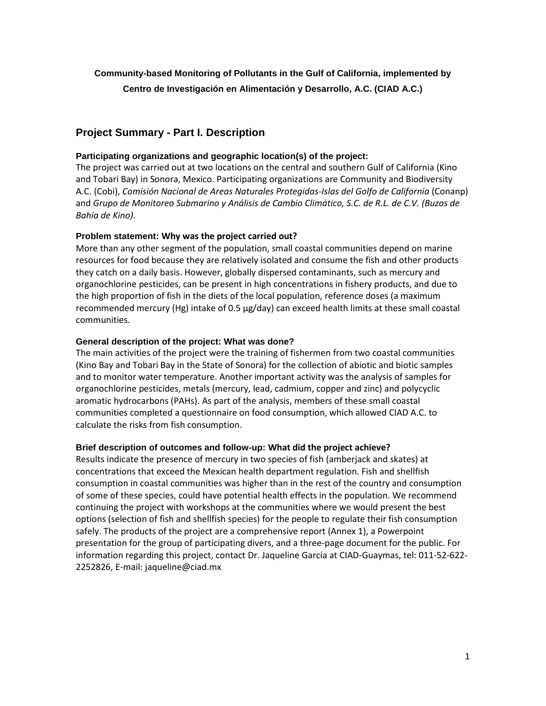# **Community-based Monitoring of Pollutants in the Gulf of California, implemented b[y](https://www.grantinterface.com/cec/Foundation/Administration/OrganizationView.aspx?oid=126977) [Centro de Investigación en Alimentación y Desarrollo,](https://www.grantinterface.com/cec/Foundation/Administration/OrganizationView.aspx?oid=126977) A.C. (CIAD A.C.)**

## **Project Summary - Part I. Description**

## **Participating organizations and geographic location(s) of the project:**

The project was carried out at two locations on the central and southern Gulf of California (Kino and Tobari Bay) in Sonora, Mexico. Participating organizations are Community and Biodiversity A.C. (Cobi), *Comisión Nacional de Areas Naturales Protegidas-Islas del Golfo de California* (Conanp) and *Grupo de Monitoreo Submarino y Análisis de Cambio Climático, S.C. de R.L. de C.V. (Buzos de Bahía de Kino)*.

## **Problem statement: Why was the project carried out?**

More than any other segment of the population, small coastal communities depend on marine resources for food because they are relatively isolated and consume the fish and other products they catch on a daily basis. However, globally dispersed contaminants, such as mercury and organochlorine pesticides, can be present in high concentrations in fishery products, and due to the high proportion of fish in the diets of the local population, reference doses (a maximum recommended mercury (Hg) intake of 0.5 µg/day) can exceed health limits at these small coastal communities.

## **General description of the project: What was done?**

The main activities of the project were the training of fishermen from two coastal communities (Kino Bay and Tobari Bay in the State of Sonora) for the collection of abiotic and biotic samples and to monitor water temperature. Another important activity was the analysis of samples for organochlorine pesticides, metals (mercury, lead, cadmium, copper and zinc) and polycyclic aromatic hydrocarbons (PAHs). As part of the analysis, members of these small coastal communities completed a questionnaire on food consumption, which allowed CIAD A.C. to calculate the risks from fish consumption.

## **Brief description of outcomes and follow-up: What did the project achieve?**

Results indicate the presence of mercury in two species of fish (amberjack and skates) at concentrations that exceed the Mexican health department regulation. Fish and shellfish consumption in coastal communities was higher than in the rest of the country and consumption of some of these species, could have potential health effects in the population. We recommend continuing the project with workshops at the communities where we would present the best options (selection of fish and shellfish species) for the people to regulate their fish consumption safely. The products of the project are a comprehensive report (Annex 1), a Powerpoint presentation for the group of participating divers, and a three-page document for the public. For information regarding this project, contact Dr. Jaqueline García at CIAD-Guaymas, tel: 011-52-622- 2252826, E-mail: jaqueline@ciad.mx